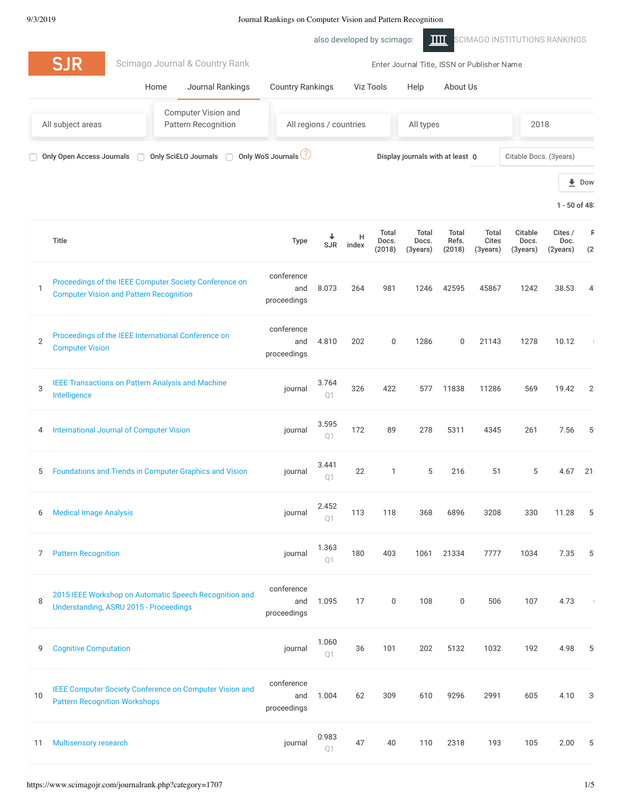also developed by scimago: THE [SCIMAGO INSTITUTIONS RANKINGS](https://www.scimagoir.com/) **SJR** [Scimago Journal & Country Rank](https://www.scimagojr.com/) Enter Journal Title, ISSN or Publisher Name [Home](https://www.scimagojr.com/index.php) [Journal Rankings](https://www.scimagojr.com/journalrank.php) [Country Rankings](https://www.scimagojr.com/countryrank.php) [Viz Tools](https://www.scimagojr.com/viztools.php) [Help](https://www.scimagojr.com/help.php) [About Us](https://www.scimagojr.com/aboutus.php) Computer Vision and Pattern Recognition All regions / countries All types 2018 All subject areas Only Open Access Journals and Only SciELO Journals and Only WoS Journals (2) and Display journals with at least 0 citable Docs. (3years) **[Dow](https://www.scimagojr.com/journalrank.php?category=1707&out=xls)**  $1 - 50$  of 483 Total Total Total Total Citable Cites / R H Docs. Docs. Refs. Cites Docs. Doc. Title [SJR](https://www.scimagojr.com/journalrank.php?category=1707&order=sjr&ord=asc) [index](https://www.scimagojr.com/journalrank.php?category=1707&order=h&ord=desc) [\(2018\)](https://www.scimagojr.com/journalrank.php?category=1707&order=item&ord=desc) [\(3years\)](https://www.scimagojr.com/journalrank.php?category=1707&order=titem&ord=desc) [\(2018\)](https://www.scimagojr.com/journalrank.php?category=1707&order=tr&ord=desc) [\(3years\)](https://www.scimagojr.com/journalrank.php?category=1707&order=tc&ord=desc) [\(3years\)](https://www.scimagojr.com/journalrank.php?category=1707&order=cd&ord=desc) [\(2years\)](https://www.scimagojr.com/journalrank.php?category=1707&order=cpd&ord=desc)  $(2)$ conference [Proceedings of the IEEE Computer Society Conference on](https://www.scimagojr.com/journalsearch.php?q=24212&tip=sid&clean=0) 1 and 8.073 264 981 1246 42595 45867 1242 38.53 43 Computer Vision and Pattern Recognition proceedings conference [Proceedings of the IEEE International Conference on](https://www.scimagojr.com/journalsearch.php?q=110561&tip=sid&clean=0) 2 and 4.810 202 0 1286 0 21143 1278 10.12 0 Computer Vision proceedings [IEEE Transactions on Pattern Analysis and Machine](https://www.scimagojr.com/journalsearch.php?q=24254&tip=sid&clean=0) 3.764 3 journal 326 422 577 11838 11286 569 19.42 28 Intelligence  $O<sub>1</sub>$ 3.595 4 [International Journal of Computer Vision](https://www.scimagojr.com/journalsearch.php?q=72242&tip=sid&clean=0) in the second section of  $\sim$  100 journal 172 89 278 5311 4345 261 7.56 59 Q1 3.441 5 [Foundations and Trends in Computer Graphics and Vision](https://www.scimagojr.com/journalsearch.php?q=5100155078&tip=sid&clean=0) journal 22 1 5 216 51 5 4.67 216 Q1 2.452 6 [Medical Image Analysis](https://www.scimagojr.com/journalsearch.php?q=17271&tip=sid&clean=0) journal 113 118 368 6896 3208 330 11.28 5 Q1 1.363 7 [Pattern Recognition](https://www.scimagojr.com/journalsearch.php?q=24823&tip=sid&clean=0) and the set of the set of the set of the set of the set of the set of the set of the set of the set of the set of the set of the set of the set of the set of the set of the set of the set of the set o 180 403 1061 21334 7777 1034 7.35 52 Q1 conference [2015 IEEE Workshop on Automatic Speech Recognition and](https://www.scimagojr.com/journalsearch.php?q=21100456681&tip=sid&clean=0) 8 and 1.095 17 0 108 0 506 107 4.73 0 Understanding, ASRU 2015 - Proceedings proceedings 1.060 **9** [Cognitive Computation](https://www.scimagojr.com/journalsearch.php?q=19400158515&tip=sid&clean=0) **in the Computation** is a set of the contract of the contract of the contract of the contract of the contract of the contract of the contract of the contract of the contract of the contract of the 36 101 202 5132 1032 192 4.98 50 Q1 conference [IEEE Computer Society Conference on Computer Vision and](https://www.scimagojr.com/journalsearch.php?q=20100195041&tip=sid&clean=0) 10 and 1.004 62 309 610 9296 2991 605 4.10 30 Pattern Recognition Workshops proceedings 0.983 11 [Multisensory research](https://www.scimagojr.com/journalsearch.php?q=21100243801&tip=sid&clean=0) in the state of the state of the state of the state of the state of the state of the state of the state of the state of the state of the state of the state of the state of the state of the state of 47 40 110 2318 193 105 2.00 57Q1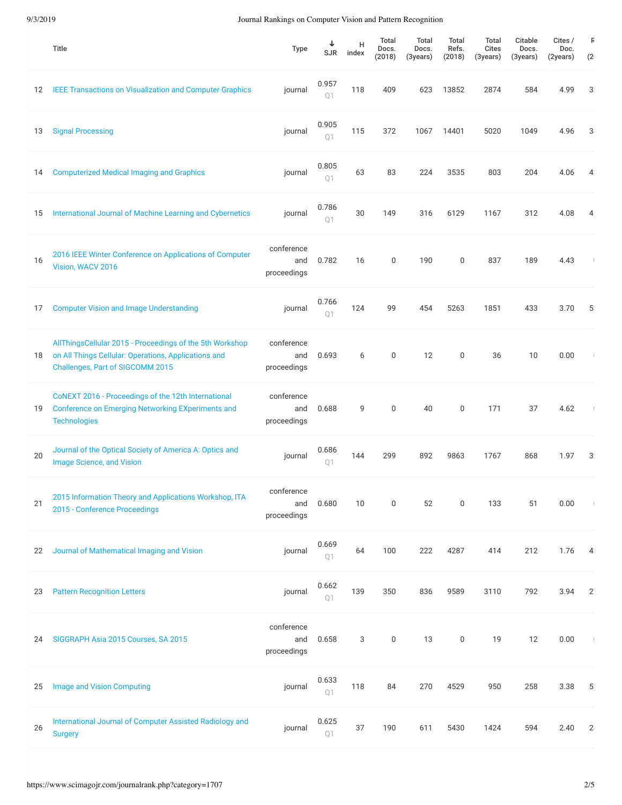|    | <b>Title</b>                                                                                                                                         | <b>Type</b>                      | ↓<br><b>SJR</b>         | Н<br>index | Total<br>Docs.<br>(2018) | Total<br>Docs.<br>(3years) | <b>Total</b><br>Refs.<br>(2018) | <b>Total</b><br><b>Cites</b><br>(3years) | Citable<br>Docs.<br>(3years) | Cites /<br>Doc.<br>(2years) | F<br>(2)       |
|----|------------------------------------------------------------------------------------------------------------------------------------------------------|----------------------------------|-------------------------|------------|--------------------------|----------------------------|---------------------------------|------------------------------------------|------------------------------|-----------------------------|----------------|
| 12 | <b>IEEE Transactions on Visualization and Computer Graphics</b>                                                                                      | journal                          | 0.957<br>O <sub>1</sub> | 118        | 409                      | 623                        | 13852                           | 2874                                     | 584                          | 4.99                        | 3.             |
| 13 | <b>Signal Processing</b>                                                                                                                             | journal                          | 0.905<br>Q <sub>1</sub> | 115        | 372                      | 1067                       | 14401                           | 5020                                     | 1049                         | 4.96                        | 3              |
| 14 | <b>Computerized Medical Imaging and Graphics</b>                                                                                                     | journal                          | 0.805<br>Q1             | 63         | 83                       | 224                        | 3535                            | 803                                      | 204                          | 4.06                        | $\overline{4}$ |
| 15 | International Journal of Machine Learning and Cybernetics                                                                                            | journal                          | 0.786<br>Q1             | 30         | 149                      | 316                        | 6129                            | 1167                                     | 312                          | 4.08                        | 4              |
| 16 | 2016 IEEE Winter Conference on Applications of Computer<br>Vision, WACV 2016                                                                         | conference<br>and<br>proceedings | 0.782                   | 16         | $\mathbf 0$              | 190                        | $\mathbf 0$                     | 837                                      | 189                          | 4.43                        |                |
| 17 | <b>Computer Vision and Image Understanding</b>                                                                                                       | journal                          | 0.766<br>O <sub>1</sub> | 124        | 99                       | 454                        | 5263                            | 1851                                     | 433                          | 3.70                        | 5              |
| 18 | AllThingsCellular 2015 - Proceedings of the 5th Workshop<br>on All Things Cellular: Operations, Applications and<br>Challenges, Part of SIGCOMM 2015 | conference<br>and<br>proceedings | 0.693                   | 6          | $\mathbf 0$              | 12                         | $\mathbf 0$                     | 36                                       | 10                           | 0.00                        |                |
| 19 | CoNEXT 2016 - Proceedings of the 12th International<br><b>Conference on Emerging Networking EXperiments and</b><br><b>Technologies</b>               | conference<br>and<br>proceedings | 0.688                   | 9          | $\mathbf 0$              | 40                         | $\mathbf 0$                     | 171                                      | 37                           | 4.62                        |                |
| 20 | Journal of the Optical Society of America A: Optics and<br><b>Image Science, and Vision</b>                                                          | journal                          | 0.686<br>01             | 144        | 299                      | 892                        | 9863                            | 1767                                     | 868                          | 1.97                        | 3 <sup>°</sup> |
| 21 | 2015 Information Theory and Applications Workshop, ITA<br>2015 - Conference Proceedings                                                              | conference<br>and<br>proceedings | 0.680                   | 10         | $\boldsymbol{0}$         | 52                         | $\mathbf 0$                     | 133                                      | 51                           | 0.00                        |                |
| 22 | Journal of Mathematical Imaging and Vision                                                                                                           | journal                          | 0.669<br>Q1             | 64         | 100                      | 222                        | 4287                            | 414                                      | 212                          | 1.76                        | $\overline{4}$ |
| 23 | <b>Pattern Recognition Letters</b>                                                                                                                   | journal                          | 0.662<br>Q1             | 139        | 350                      | 836                        | 9589                            | 3110                                     | 792                          | 3.94                        | $2^{\circ}$    |
| 24 | SIGGRAPH Asia 2015 Courses, SA 2015                                                                                                                  | conference<br>and<br>proceedings | 0.658                   | 3          | $\mathbf 0$              | 13                         | $\boldsymbol{0}$                | 19                                       | 12                           | 0.00                        | $\mathcal{A}$  |
| 25 | <b>Image and Vision Computing</b>                                                                                                                    | journal                          | 0.633<br>Q1             | 118        | 84                       | 270                        | 4529                            | 950                                      | 258                          | 3.38                        | 5              |
| 26 | International Journal of Computer Assisted Radiology and<br><b>Surgery</b>                                                                           | journal                          | 0.625<br>Q1             | 37         | 190                      | 611                        | 5430                            | 1424                                     | 594                          | 2.40                        | $\mathbf{2}$   |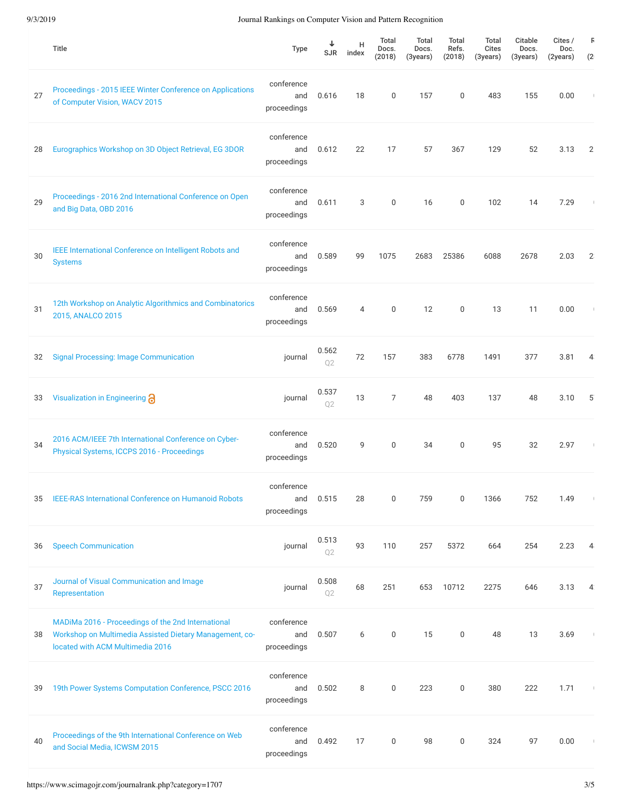|    | Title                                                                                                                                             | <b>Type</b>                      | <b>SJR</b>              | H<br>index     | Total<br>Docs.<br>(2018) | Total<br>Docs.<br>(3years) | <b>Total</b><br>Refs.<br>(2018) | Total<br><b>Cites</b><br>(3years) | Citable<br>Docs.<br>(3years) | Cites /<br>Doc.<br>(2years) | B<br>(2)       |
|----|---------------------------------------------------------------------------------------------------------------------------------------------------|----------------------------------|-------------------------|----------------|--------------------------|----------------------------|---------------------------------|-----------------------------------|------------------------------|-----------------------------|----------------|
| 27 | Proceedings - 2015 IEEE Winter Conference on Applications<br>of Computer Vision, WACV 2015                                                        | conference<br>and<br>proceedings | 0.616                   | 18             | 0                        | 157                        | 0                               | 483                               | 155                          | 0.00                        |                |
| 28 | Eurographics Workshop on 3D Object Retrieval, EG 3DOR                                                                                             | conference<br>and<br>proceedings | 0.612                   | 22             | 17                       | 57                         | 367                             | 129                               | 52                           | 3.13                        | 2              |
| 29 | Proceedings - 2016 2nd International Conference on Open<br>and Big Data, OBD 2016                                                                 | conference<br>and<br>proceedings | 0.611                   | 3              | $\mathbf 0$              | 16                         | 0                               | 102                               | 14                           | 7.29                        |                |
| 30 | IEEE International Conference on Intelligent Robots and<br><b>Systems</b>                                                                         | conference<br>and<br>proceedings | 0.589                   | 99             | 1075                     | 2683                       | 25386                           | 6088                              | 2678                         | 2.03                        | $\mathbf{2}$   |
| 31 | 12th Workshop on Analytic Algorithmics and Combinatorics<br>2015, ANALCO 2015                                                                     | conference<br>and<br>proceedings | 0.569                   | $\overline{4}$ | $\mathbf 0$              | 12                         | $\boldsymbol{0}$                | 13                                | 11                           | 0.00                        |                |
| 32 | <b>Signal Processing: Image Communication</b>                                                                                                     | journal                          | 0.562<br>Q2             | 72             | 157                      | 383                        | 6778                            | 1491                              | 377                          | 3.81                        | $\overline{4}$ |
| 33 | Visualization in Engineering @                                                                                                                    | journal                          | 0.537<br>Q2             | 13             | 7                        | 48                         | 403                             | 137                               | 48                           | 3.10                        | $5^{\circ}$    |
| 34 | 2016 ACM/IEEE 7th International Conference on Cyber-<br>Physical Systems, ICCPS 2016 - Proceedings                                                | conference<br>and<br>proceedings | 0.520                   | 9              | $\mathbf 0$              | 34                         | $\mathbf 0$                     | 95                                | 32                           | 2.97                        | $\mathbf{I}$   |
| 35 | IEEE-RAS International Conference on Humanoid Robots                                                                                              | conference<br>and<br>proceedings | 0.515                   | 28             | 0                        | 759                        | 0                               | 1366                              | 752                          | 1.49                        |                |
| 36 | <b>Speech Communication</b>                                                                                                                       | journal                          | 0.513<br>Q <sub>2</sub> | 93             | 110                      | 257                        | 5372                            | 664                               | 254                          | 2.23                        | $\overline{4}$ |
| 37 | Journal of Visual Communication and Image<br>Representation                                                                                       | journal                          | 0.508<br>Q <sub>2</sub> | 68             | 251                      | 653                        | 10712                           | 2275                              | 646                          | 3.13                        | 4.             |
| 38 | MADIMa 2016 - Proceedings of the 2nd International<br>Workshop on Multimedia Assisted Dietary Management, co-<br>located with ACM Multimedia 2016 | conference<br>and<br>proceedings | 0.507                   | 6              | 0                        | 15                         | $\boldsymbol{0}$                | 48                                | 13                           | 3.69                        |                |
| 39 | 19th Power Systems Computation Conference, PSCC 2016                                                                                              | conference<br>and<br>proceedings | 0.502                   | 8              | 0                        | 223                        | 0                               | 380                               | 222                          | 1.71                        | $\mathbb{R}^n$ |
| 40 | Proceedings of the 9th International Conference on Web<br>and Social Media, ICWSM 2015                                                            | conference<br>and<br>proceedings | 0.492                   | 17             | 0                        | 98                         | 0                               | 324                               | 97                           | 0.00                        |                |